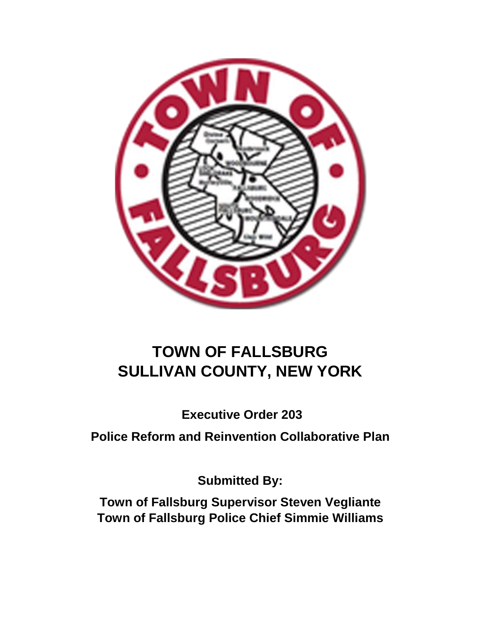

# **TOWN OF FALLSBURG SULLIVAN COUNTY, NEW YORK**

**Executive Order 203**

**Police Reform and Reinvention Collaborative Plan** 

**Submitted By:** 

**Town of Fallsburg Supervisor Steven Vegliante Town of Fallsburg Police Chief Simmie Williams**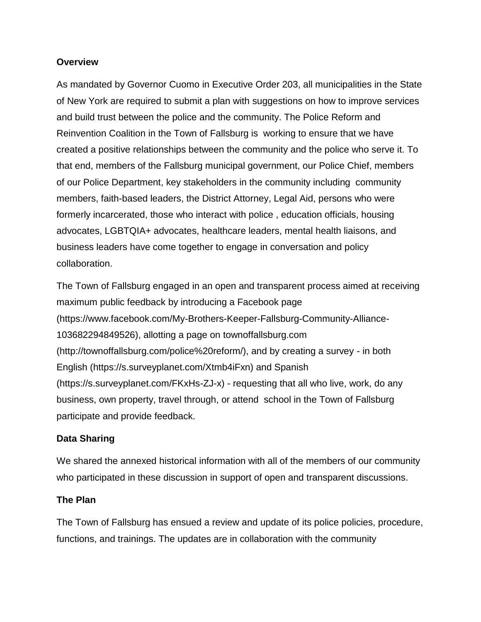#### **Overview**

As mandated by Governor Cuomo in Executive Order 203, all municipalities in the State of New York are required to submit a plan with suggestions on how to improve services and build trust between the police and the community. The Police Reform and Reinvention Coalition in the Town of Fallsburg is working to ensure that we have created a positive relationships between the community and the police who serve it. To that end, members of the Fallsburg municipal government, our Police Chief, members of our Police Department, key stakeholders in the community including community members, faith-based leaders, the District Attorney, Legal Aid, persons who were formerly incarcerated, those who interact with police , education officials, housing advocates, LGBTQIA+ advocates, healthcare leaders, mental health liaisons, and business leaders have come together to engage in conversation and policy collaboration.

The Town of Fallsburg engaged in an open and transparent process aimed at receiving maximum public feedback by introducing a Facebook page (https://www.facebook.com/My-Brothers-Keeper-Fallsburg-Community-Alliance-103682294849526), allotting a page on townoffallsburg.com (http://townoffallsburg.com/police%20reform/), and by creating a survey - in both English (https://s.surveyplanet.com/Xtmb4iFxn) and Spanish (https://s.surveyplanet.com/FKxHs-ZJ-x) - requesting that all who live, work, do any business, own property, travel through, or attend school in the Town of Fallsburg participate and provide feedback.

## **Data Sharing**

We shared the annexed historical information with all of the members of our community who participated in these discussion in support of open and transparent discussions.

#### **The Plan**

The Town of Fallsburg has ensued a review and update of its police policies, procedure, functions, and trainings. The updates are in collaboration with the community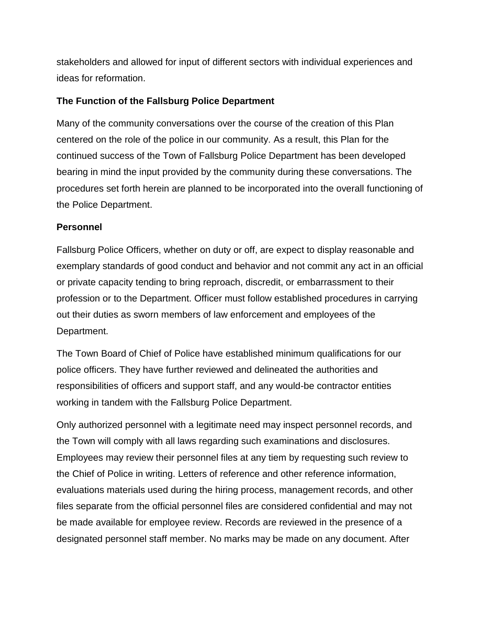stakeholders and allowed for input of different sectors with individual experiences and ideas for reformation.

#### **The Function of the Fallsburg Police Department**

Many of the community conversations over the course of the creation of this Plan centered on the role of the police in our community. As a result, this Plan for the continued success of the Town of Fallsburg Police Department has been developed bearing in mind the input provided by the community during these conversations. The procedures set forth herein are planned to be incorporated into the overall functioning of the Police Department.

#### **Personnel**

Fallsburg Police Officers, whether on duty or off, are expect to display reasonable and exemplary standards of good conduct and behavior and not commit any act in an official or private capacity tending to bring reproach, discredit, or embarrassment to their profession or to the Department. Officer must follow established procedures in carrying out their duties as sworn members of law enforcement and employees of the Department.

The Town Board of Chief of Police have established minimum qualifications for our police officers. They have further reviewed and delineated the authorities and responsibilities of officers and support staff, and any would-be contractor entities working in tandem with the Fallsburg Police Department.

Only authorized personnel with a legitimate need may inspect personnel records, and the Town will comply with all laws regarding such examinations and disclosures. Employees may review their personnel files at any tiem by requesting such review to the Chief of Police in writing. Letters of reference and other reference information, evaluations materials used during the hiring process, management records, and other files separate from the official personnel files are considered confidential and may not be made available for employee review. Records are reviewed in the presence of a designated personnel staff member. No marks may be made on any document. After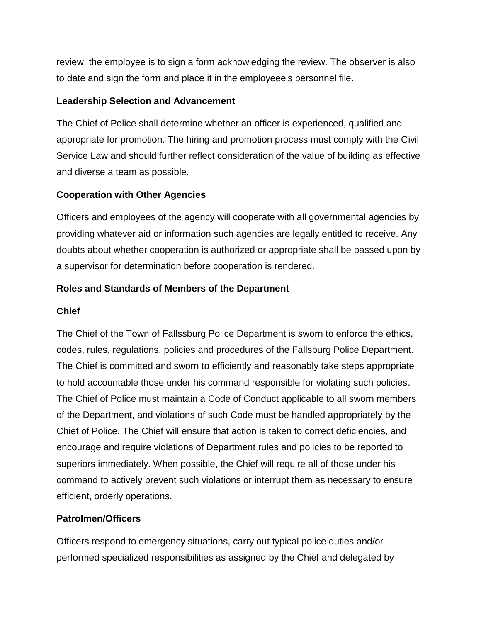review, the employee is to sign a form acknowledging the review. The observer is also to date and sign the form and place it in the employeee's personnel file.

## **Leadership Selection and Advancement**

The Chief of Police shall determine whether an officer is experienced, qualified and appropriate for promotion. The hiring and promotion process must comply with the Civil Service Law and should further reflect consideration of the value of building as effective and diverse a team as possible.

# **Cooperation with Other Agencies**

Officers and employees of the agency will cooperate with all governmental agencies by providing whatever aid or information such agencies are legally entitled to receive. Any doubts about whether cooperation is authorized or appropriate shall be passed upon by a supervisor for determination before cooperation is rendered.

## **Roles and Standards of Members of the Department**

## **Chief**

The Chief of the Town of Fallssburg Police Department is sworn to enforce the ethics, codes, rules, regulations, policies and procedures of the Fallsburg Police Department. The Chief is committed and sworn to efficiently and reasonably take steps appropriate to hold accountable those under his command responsible for violating such policies. The Chief of Police must maintain a Code of Conduct applicable to all sworn members of the Department, and violations of such Code must be handled appropriately by the Chief of Police. The Chief will ensure that action is taken to correct deficiencies, and encourage and require violations of Department rules and policies to be reported to superiors immediately. When possible, the Chief will require all of those under his command to actively prevent such violations or interrupt them as necessary to ensure efficient, orderly operations.

## **Patrolmen/Officers**

Officers respond to emergency situations, carry out typical police duties and/or performed specialized responsibilities as assigned by the Chief and delegated by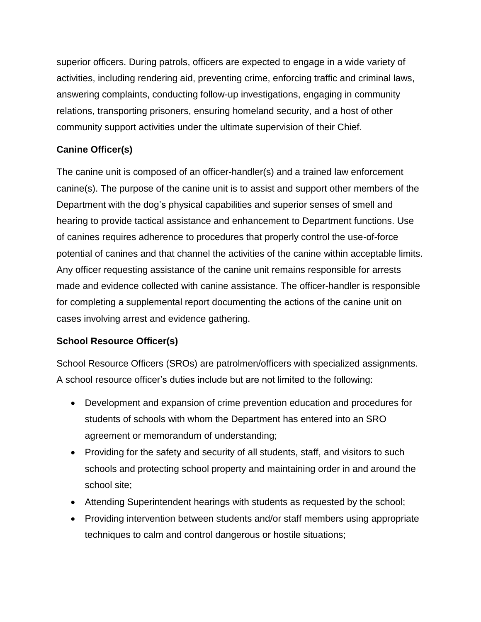superior officers. During patrols, officers are expected to engage in a wide variety of activities, including rendering aid, preventing crime, enforcing traffic and criminal laws, answering complaints, conducting follow-up investigations, engaging in community relations, transporting prisoners, ensuring homeland security, and a host of other community support activities under the ultimate supervision of their Chief.

# **Canine Officer(s)**

The canine unit is composed of an officer-handler(s) and a trained law enforcement canine(s). The purpose of the canine unit is to assist and support other members of the Department with the dog's physical capabilities and superior senses of smell and hearing to provide tactical assistance and enhancement to Department functions. Use of canines requires adherence to procedures that properly control the use-of-force potential of canines and that channel the activities of the canine within acceptable limits. Any officer requesting assistance of the canine unit remains responsible for arrests made and evidence collected with canine assistance. The officer-handler is responsible for completing a supplemental report documenting the actions of the canine unit on cases involving arrest and evidence gathering.

# **School Resource Officer(s)**

School Resource Officers (SROs) are patrolmen/officers with specialized assignments. A school resource officer's duties include but are not limited to the following:

- Development and expansion of crime prevention education and procedures for students of schools with whom the Department has entered into an SRO agreement or memorandum of understanding;
- Providing for the safety and security of all students, staff, and visitors to such schools and protecting school property and maintaining order in and around the school site;
- Attending Superintendent hearings with students as requested by the school;
- Providing intervention between students and/or staff members using appropriate techniques to calm and control dangerous or hostile situations;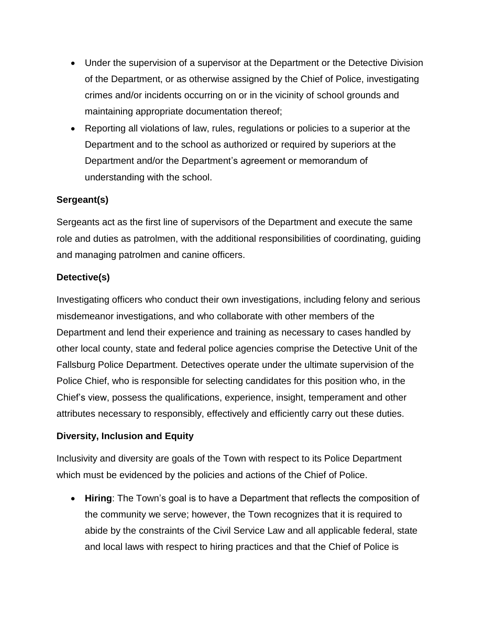- Under the supervision of a supervisor at the Department or the Detective Division of the Department, or as otherwise assigned by the Chief of Police, investigating crimes and/or incidents occurring on or in the vicinity of school grounds and maintaining appropriate documentation thereof;
- Reporting all violations of law, rules, regulations or policies to a superior at the Department and to the school as authorized or required by superiors at the Department and/or the Department's agreement or memorandum of understanding with the school.

## **Sergeant(s)**

Sergeants act as the first line of supervisors of the Department and execute the same role and duties as patrolmen, with the additional responsibilities of coordinating, guiding and managing patrolmen and canine officers.

## **Detective(s)**

Investigating officers who conduct their own investigations, including felony and serious misdemeanor investigations, and who collaborate with other members of the Department and lend their experience and training as necessary to cases handled by other local county, state and federal police agencies comprise the Detective Unit of the Fallsburg Police Department. Detectives operate under the ultimate supervision of the Police Chief, who is responsible for selecting candidates for this position who, in the Chief's view, possess the qualifications, experience, insight, temperament and other attributes necessary to responsibly, effectively and efficiently carry out these duties.

## **Diversity, Inclusion and Equity**

Inclusivity and diversity are goals of the Town with respect to its Police Department which must be evidenced by the policies and actions of the Chief of Police.

 **Hiring**: The Town's goal is to have a Department that reflects the composition of the community we serve; however, the Town recognizes that it is required to abide by the constraints of the Civil Service Law and all applicable federal, state and local laws with respect to hiring practices and that the Chief of Police is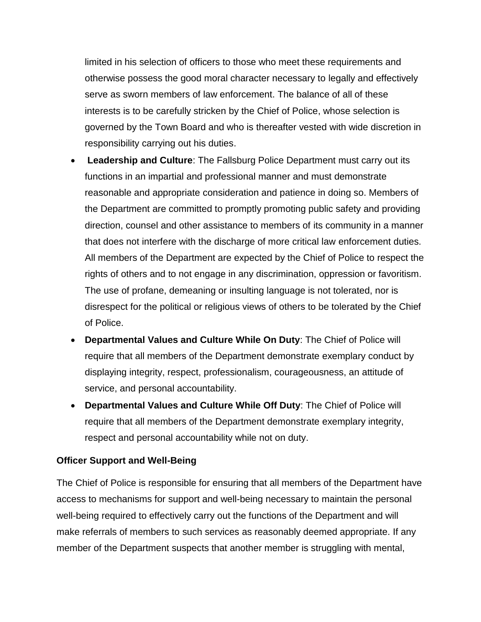limited in his selection of officers to those who meet these requirements and otherwise possess the good moral character necessary to legally and effectively serve as sworn members of law enforcement. The balance of all of these interests is to be carefully stricken by the Chief of Police, whose selection is governed by the Town Board and who is thereafter vested with wide discretion in responsibility carrying out his duties.

- **Leadership and Culture**: The Fallsburg Police Department must carry out its functions in an impartial and professional manner and must demonstrate reasonable and appropriate consideration and patience in doing so. Members of the Department are committed to promptly promoting public safety and providing direction, counsel and other assistance to members of its community in a manner that does not interfere with the discharge of more critical law enforcement duties. All members of the Department are expected by the Chief of Police to respect the rights of others and to not engage in any discrimination, oppression or favoritism. The use of profane, demeaning or insulting language is not tolerated, nor is disrespect for the political or religious views of others to be tolerated by the Chief of Police.
- **Departmental Values and Culture While On Duty**: The Chief of Police will require that all members of the Department demonstrate exemplary conduct by displaying integrity, respect, professionalism, courageousness, an attitude of service, and personal accountability.
- **Departmental Values and Culture While Off Duty**: The Chief of Police will require that all members of the Department demonstrate exemplary integrity, respect and personal accountability while not on duty.

#### **Officer Support and Well-Being**

The Chief of Police is responsible for ensuring that all members of the Department have access to mechanisms for support and well-being necessary to maintain the personal well-being required to effectively carry out the functions of the Department and will make referrals of members to such services as reasonably deemed appropriate. If any member of the Department suspects that another member is struggling with mental,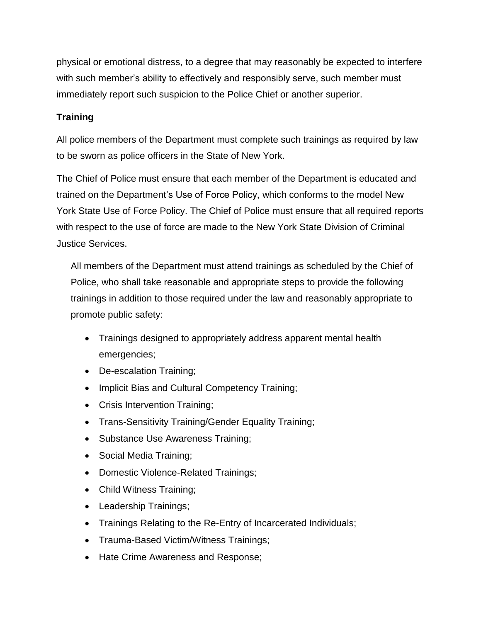physical or emotional distress, to a degree that may reasonably be expected to interfere with such member's ability to effectively and responsibly serve, such member must immediately report such suspicion to the Police Chief or another superior.

# **Training**

All police members of the Department must complete such trainings as required by law to be sworn as police officers in the State of New York.

The Chief of Police must ensure that each member of the Department is educated and trained on the Department's Use of Force Policy, which conforms to the model New York State Use of Force Policy. The Chief of Police must ensure that all required reports with respect to the use of force are made to the New York State Division of Criminal Justice Services.

All members of the Department must attend trainings as scheduled by the Chief of Police, who shall take reasonable and appropriate steps to provide the following trainings in addition to those required under the law and reasonably appropriate to promote public safety:

- Trainings designed to appropriately address apparent mental health emergencies;
- De-escalation Training;
- Implicit Bias and Cultural Competency Training;
- Crisis Intervention Training;
- Trans-Sensitivity Training/Gender Equality Training;
- Substance Use Awareness Training;
- Social Media Training;
- Domestic Violence-Related Trainings;
- Child Witness Training;
- Leadership Trainings;
- Trainings Relating to the Re-Entry of Incarcerated Individuals;
- Trauma-Based Victim/Witness Trainings;
- Hate Crime Awareness and Response;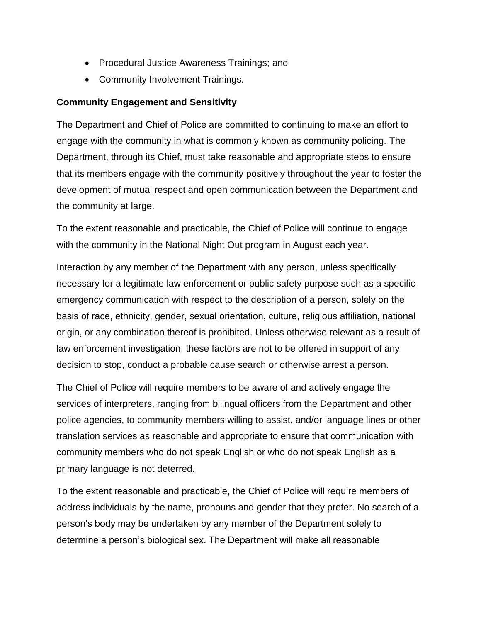- Procedural Justice Awareness Trainings; and
- Community Involvement Trainings.

## **Community Engagement and Sensitivity**

The Department and Chief of Police are committed to continuing to make an effort to engage with the community in what is commonly known as community policing. The Department, through its Chief, must take reasonable and appropriate steps to ensure that its members engage with the community positively throughout the year to foster the development of mutual respect and open communication between the Department and the community at large.

To the extent reasonable and practicable, the Chief of Police will continue to engage with the community in the National Night Out program in August each year.

Interaction by any member of the Department with any person, unless specifically necessary for a legitimate law enforcement or public safety purpose such as a specific emergency communication with respect to the description of a person, solely on the basis of race, ethnicity, gender, sexual orientation, culture, religious affiliation, national origin, or any combination thereof is prohibited. Unless otherwise relevant as a result of law enforcement investigation, these factors are not to be offered in support of any decision to stop, conduct a probable cause search or otherwise arrest a person.

The Chief of Police will require members to be aware of and actively engage the services of interpreters, ranging from bilingual officers from the Department and other police agencies, to community members willing to assist, and/or language lines or other translation services as reasonable and appropriate to ensure that communication with community members who do not speak English or who do not speak English as a primary language is not deterred.

To the extent reasonable and practicable, the Chief of Police will require members of address individuals by the name, pronouns and gender that they prefer. No search of a person's body may be undertaken by any member of the Department solely to determine a person's biological sex. The Department will make all reasonable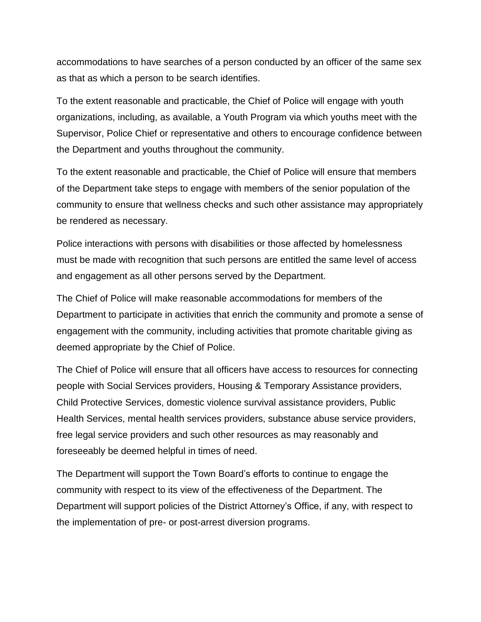accommodations to have searches of a person conducted by an officer of the same sex as that as which a person to be search identifies.

To the extent reasonable and practicable, the Chief of Police will engage with youth organizations, including, as available, a Youth Program via which youths meet with the Supervisor, Police Chief or representative and others to encourage confidence between the Department and youths throughout the community.

To the extent reasonable and practicable, the Chief of Police will ensure that members of the Department take steps to engage with members of the senior population of the community to ensure that wellness checks and such other assistance may appropriately be rendered as necessary.

Police interactions with persons with disabilities or those affected by homelessness must be made with recognition that such persons are entitled the same level of access and engagement as all other persons served by the Department.

The Chief of Police will make reasonable accommodations for members of the Department to participate in activities that enrich the community and promote a sense of engagement with the community, including activities that promote charitable giving as deemed appropriate by the Chief of Police.

The Chief of Police will ensure that all officers have access to resources for connecting people with Social Services providers, Housing & Temporary Assistance providers, Child Protective Services, domestic violence survival assistance providers, Public Health Services, mental health services providers, substance abuse service providers, free legal service providers and such other resources as may reasonably and foreseeably be deemed helpful in times of need.

The Department will support the Town Board's efforts to continue to engage the community with respect to its view of the effectiveness of the Department. The Department will support policies of the District Attorney's Office, if any, with respect to the implementation of pre- or post-arrest diversion programs.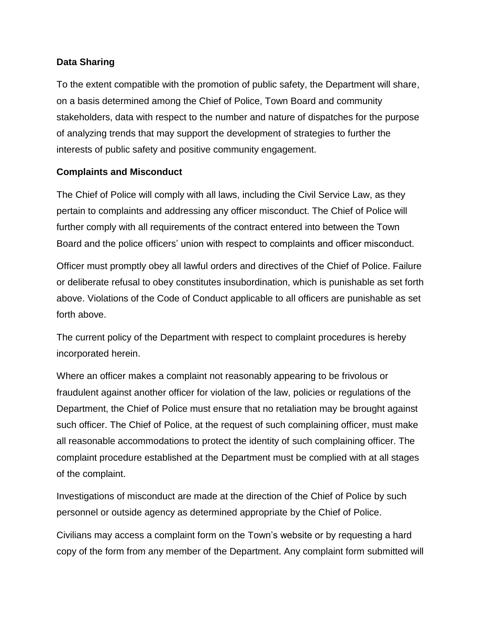#### **Data Sharing**

To the extent compatible with the promotion of public safety, the Department will share, on a basis determined among the Chief of Police, Town Board and community stakeholders, data with respect to the number and nature of dispatches for the purpose of analyzing trends that may support the development of strategies to further the interests of public safety and positive community engagement.

#### **Complaints and Misconduct**

The Chief of Police will comply with all laws, including the Civil Service Law, as they pertain to complaints and addressing any officer misconduct. The Chief of Police will further comply with all requirements of the contract entered into between the Town Board and the police officers' union with respect to complaints and officer misconduct.

Officer must promptly obey all lawful orders and directives of the Chief of Police. Failure or deliberate refusal to obey constitutes insubordination, which is punishable as set forth above. Violations of the Code of Conduct applicable to all officers are punishable as set forth above.

The current policy of the Department with respect to complaint procedures is hereby incorporated herein.

Where an officer makes a complaint not reasonably appearing to be frivolous or fraudulent against another officer for violation of the law, policies or regulations of the Department, the Chief of Police must ensure that no retaliation may be brought against such officer. The Chief of Police, at the request of such complaining officer, must make all reasonable accommodations to protect the identity of such complaining officer. The complaint procedure established at the Department must be complied with at all stages of the complaint.

Investigations of misconduct are made at the direction of the Chief of Police by such personnel or outside agency as determined appropriate by the Chief of Police.

Civilians may access a complaint form on the Town's website or by requesting a hard copy of the form from any member of the Department. Any complaint form submitted will